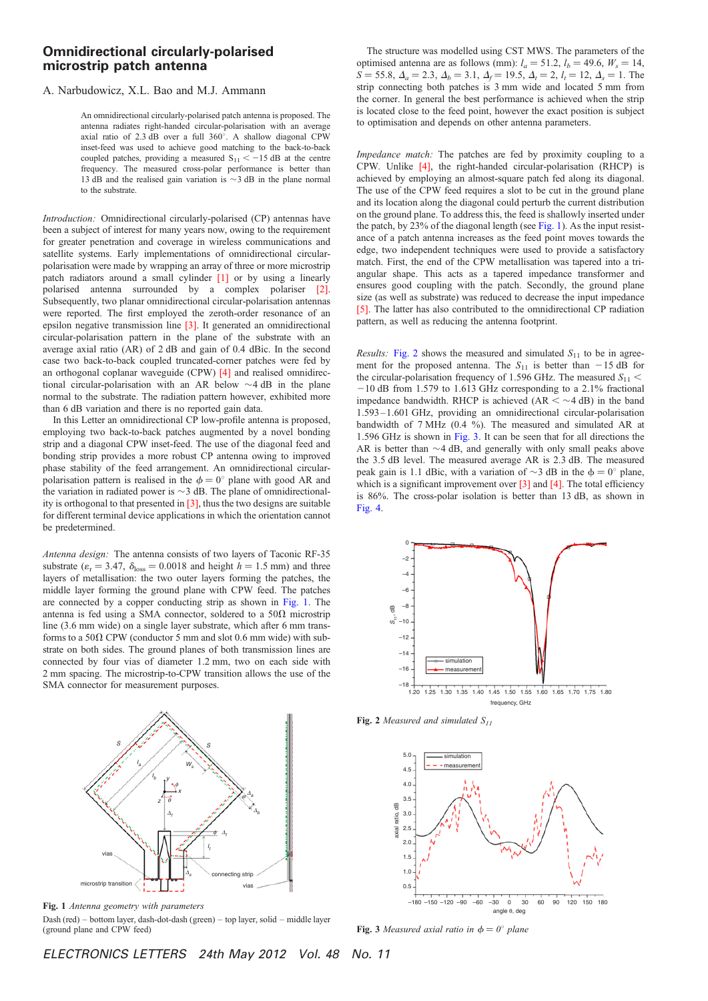## Omnidirectional circularly-polarised microstrip patch antenna

## A. Narbudowicz, X.L. Bao and M.J. Ammann

An omnidirectional circularly-polarised patch antenna is proposed. The antenna radiates right-handed circular-polarisation with an average axial ratio of 2.3 dB over a full  $360^\circ$ . A shallow diagonal CPW inset-feed was used to achieve good matching to the back-to-back coupled patches, providing a measured  $S_{11} < -15$  dB at the centre frequency. The measured cross-polar performance is better than 13 dB and the realised gain variation is  $\sim$ 3 dB in the plane normal to the substrate.

Introduction: Omnidirectional circularly-polarised (CP) antennas have been a subject of interest for many years now, owing to the requirement for greater penetration and coverage in wireless communications and satellite systems. Early implementations of omnidirectional circularpolarisation were made by wrapping an array of three or more microstrip patch radiators around a small cylinder [1] or by using a linearly polarised antenna surrounded by a complex polariser [2]. Subsequently, two planar omnidirectional circular-polarisation antennas were reported. The first employed the zeroth-order resonance of an epsilon negative transmission line [3]. It generated an omnidirectional circular-polarisation pattern in the plane of the substrate with an average axial ratio (AR) of 2 dB and gain of 0.4 dBic. In the second case two back-to-back coupled truncated-corner patches were fed by an orthogonal coplanar waveguide (CPW) [4] and realised omnidirectional circular-polarisation with an AR below  $\sim$ 4 dB in the plane normal to the substrate. The radiation pattern however, exhibited more than 6 dB variation and there is no reported gain data.

In this Letter an omnidirectional CP low-profile antenna is proposed, employing two back-to-back patches augmented by a novel bonding strip and a diagonal CPW inset-feed. The use of the diagonal feed and bonding strip provides a more robust CP antenna owing to improved phase stability of the feed arrangement. An omnidirectional circularpolarisation pattern is realised in the  $\phi = 0^{\circ}$  plane with good AR and the variation in radiated power is  $\sim$ 3 dB. The plane of omnidirectionality is orthogonal to that presented in [3], thus the two designs are suitable for different terminal device applications in which the orientation cannot be predetermined.

Antenna design: The antenna consists of two layers of Taconic RF-35 substrate ( $\varepsilon_r = 3.47$ ,  $\delta_{\text{loss}} = 0.0018$  and height  $h = 1.5$  mm) and three layers of metallisation: the two outer layers forming the patches, the middle layer forming the ground plane with CPW feed. The patches are connected by a copper conducting strip as shown in Fig. 1. The antenna is fed using a SMA connector, soldered to a  $50\Omega$  microstrip line (3.6 mm wide) on a single layer substrate, which after 6 mm transforms to a  $50\Omega$  CPW (conductor 5 mm and slot 0.6 mm wide) with substrate on both sides. The ground planes of both transmission lines are connected by four vias of diameter 1.2 mm, two on each side with 2 mm spacing. The microstrip-to-CPW transition allows the use of the SMA connector for measurement purposes.



Fig. 1 Antenna geometry with parameters Dash (red) – bottom layer, dash-dot-dash (green) – top layer, solid – middle layer (ground plane and CPW feed)

The structure was modelled using CST MWS. The parameters of the optimised antenna are as follows (mm):  $l_a = 51.2$ ,  $l_b = 49.6$ ,  $W_s = 14$ ,  $S = 55.8, \Delta_a = 2.3, \Delta_b = 3.1, \Delta_f = 19.5, \Delta_t = 2, l_t = 12, \Delta_s = 1.$  The strip connecting both patches is 3 mm wide and located 5 mm from the corner. In general the best performance is achieved when the strip is located close to the feed point, however the exact position is subject to optimisation and depends on other antenna parameters.

Impedance match: The patches are fed by proximity coupling to a CPW. Unlike [4], the right-handed circular-polarisation (RHCP) is achieved by employing an almost-square patch fed along its diagonal. The use of the CPW feed requires a slot to be cut in the ground plane and its location along the diagonal could perturb the current distribution on the ground plane. To address this, the feed is shallowly inserted under the patch, by 23% of the diagonal length (see Fig. 1). As the input resistance of a patch antenna increases as the feed point moves towards the edge, two independent techniques were used to provide a satisfactory match. First, the end of the CPW metallisation was tapered into a triangular shape. This acts as a tapered impedance transformer and ensures good coupling with the patch. Secondly, the ground plane size (as well as substrate) was reduced to decrease the input impedance [5]. The latter has also contributed to the omnidirectional CP radiation pattern, as well as reducing the antenna footprint.

*Results:* Fig. 2 shows the measured and simulated  $S_{11}$  to be in agreement for the proposed antenna. The  $S_{11}$  is better than  $-15$  dB for the circular-polarisation frequency of 1.596 GHz. The measured  $S_{11}$  <  $-10$  dB from 1.579 to 1.613 GHz corresponding to a 2.1% fractional impedance bandwidth. RHCP is achieved  $(AR < \sim 4$  dB) in the band 1.593 – 1.601 GHz, providing an omnidirectional circular-polarisation bandwidth of 7 MHz  $(0.4\ \frac{9}{2})$ . The measured and simulated AR at 1.596 GHz is shown in Fig. 3. It can be seen that for all directions the AR is better than  $\sim$  4 dB, and generally with only small peaks above the 3.5 dB level. The measured average AR is 2.3 dB. The measured peak gain is 1.1 dBic, with a variation of  $\sim$ 3 dB in the  $\phi = 0^{\circ}$  plane, which is a significant improvement over [3] and [4]. The total efficiency is 86%. The cross-polar isolation is better than 13 dB, as shown in Fig. 4.



Fig. 2 Measured and simulated  $S_{11}$ 



Fig. 3 Measured axial ratio in  $\phi = 0^{\circ}$  plane

ELECTRONICS LETTERS 24th May 2012 Vol. 48 No. 11